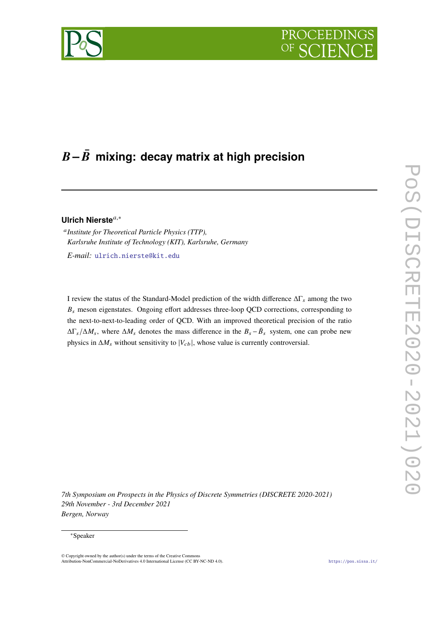# **PROCEEDI**



## −**¯ mixing: decay matrix at high precision**

### **Ulrich Nierste**,<sup>∗</sup>

 *Institute for Theoretical Particle Physics (TTP), Karlsruhe Institute of Technology (KIT), Karlsruhe, Germany*

*E-mail:* [ulrich.nierste@kit.edu](mailto:ulrich.nierste@kit.edu)

I review the status of the Standard-Model prediction of the width difference  $\Delta\Gamma_s$  among the two  $B_s$  meson eigenstates. Ongoing effort addresses three-loop QCD corrections, corresponding to the next-to-next-to-leading order of QCD. With an improved theoretical precision of the ratio  $\Delta \Gamma_s / \Delta M_s$ , where  $\Delta M_s$  denotes the mass difference in the  $B_s - \bar{B}_s$  system, one can probe new physics in  $\Delta M_s$  without sensitivity to  $|V_{cb}|$ , whose value is currently controversial.

*7th Symposium on Prospects in the Physics of Discrete Symmetries (DISCRETE 2020-2021) 29th November - 3rd December 2021 Bergen, Norway*

#### <sup>∗</sup>Speaker

<sup>©</sup> Copyright owned by the author(s) under the terms of the Creative Commons Attribution-NonCommercial-NoDerivatives 4.0 International License (CC BY-NC-ND 4.0). <https://pos.sissa.it/>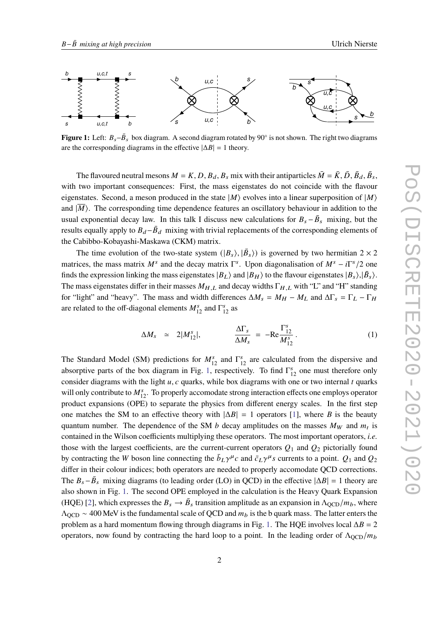<span id="page-1-0"></span>

**Figure 1:** Left:  $B_s - \bar{B}_s$  box diagram. A second diagram rotated by 90° is not shown. The right two diagrams are the corresponding diagrams in the effective  $|\Delta B| = 1$  theory.

The flavoured neutral mesons  $M = K$ ,  $D$ ,  $B_d$ ,  $B_s$  mix with their antiparticles  $\bar{M} = \bar{K}$ ,  $\bar{D}$ ,  $\bar{B}_d$ ,  $\bar{B}_s$ , with two important consequences: First, the mass eigenstates do not coincide with the flavour eigenstates. Second, a meson produced in the state  $|M\rangle$  evolves into a linear superposition of  $|M\rangle$ and  $|M\rangle$ . The corresponding time dependence features an oscillatory behaviour in addition to the usual exponential decay law. In this talk I discuss new calculations for  $B_s - \bar{B}_s$  mixing, but the results equally apply to  $B_d - \bar{B}_d$  mixing with trivial replacements of the corresponding elements of the Cabibbo-Kobayashi-Maskawa (CKM) matrix.

The time evolution of the two-state system  $(|B_s\rangle, |\bar{B}_s\rangle)$  is governed by two hermitian  $2 \times 2$ matrices, the mass matrix  $M^s$  and the decay matrix  $\Gamma^s$ . Upon diagonalisation of  $M^s - i\Gamma^s/2$  one finds the expression linking the mass eigenstates  $|B_L\rangle$  and  $|B_H\rangle$  to the flavour eigenstates  $|B_s\rangle,|\bar{B}_s\rangle$ . The mass eigenstates differ in their masses  $M_{H,L}$  and decay widths  $\Gamma_{H,L}$  with "L" and "H" standing for "light" and "heavy". The mass and width differences  $\Delta M_s = M_H - M_L$  and  $\Delta \Gamma_s = \Gamma_L - \Gamma_H$ are related to the off-diagonal elements  $M_{12}^s$  and  $\Gamma_{12}^s$  as

<span id="page-1-1"></span>
$$
\Delta M_s \simeq 2|M_{12}^s|, \qquad \frac{\Delta \Gamma_s}{\Delta M_s} = -\text{Re}\frac{\Gamma_{12}^s}{M_{12}^s} \,. \tag{1}
$$

The Standard Model (SM) predictions for  $M_{12}^s$  and  $\Gamma_{12}^s$  are calculated from the dispersive and absorptive parts of the box diagram in Fig. [1,](#page-1-0) respectively. To find  $\Gamma_{12}^{s}$  one must therefore only consider diagrams with the light  $u$ ,  $c$  quarks, while box diagrams with one or two internal  $t$  quarks will only contribute to  $M_{12}^s$ . To properly accomodate strong interaction effects one employs operator product expansions (OPE) to separate the physics from different energy scales. In the first step one matches the SM to an effective theory with  $|\Delta B| = 1$  operators [\[1\]](#page-4-0), where B is the beauty quantum number. The dependence of the SM *b* decay amplitudes on the masses  $M_W$  and  $m_t$  is contained in the Wilson coefficients multiplying these operators. The most important operators, *i.e.* those with the largest coefficients, are the current-current operators  $Q_1$  and  $Q_2$  pictorially found by contracting the W boson line connecting the  $\bar{b}_L \gamma^\mu c$  and  $\bar{c}_L \gamma^\mu s$  currents to a point.  $Q_1$  and  $Q_2$ differ in their colour indices; both operators are needed to properly accomodate QCD corrections. The  $B_s - \bar{B}_s$  mixing diagrams (to leading order (LO) in QCD) in the effective  $|\Delta B| = 1$  theory are also shown in Fig. [1.](#page-1-0) The second OPE employed in the calculation is the Heavy Quark Expansion (HQE) [\[2\]](#page-4-1), which expresses the  $B_s \to \bar{B}_s$  transition amplitude as an expansion in  $\Lambda_{\rm QCD}/m_b$ , where  $\Lambda_{\text{OCD}} \sim 400 \text{ MeV}$  is the fundamental scale of QCD and  $m_b$  is the b quark mass. The latter enters the problem as a hard momentum flowing through diagrams in Fig. [1.](#page-1-0) The HQE involves local  $\Delta B = 2$ operators, now found by contracting the hard loop to a point. In the leading order of  $\Lambda_{\text{QCD}}/m_b$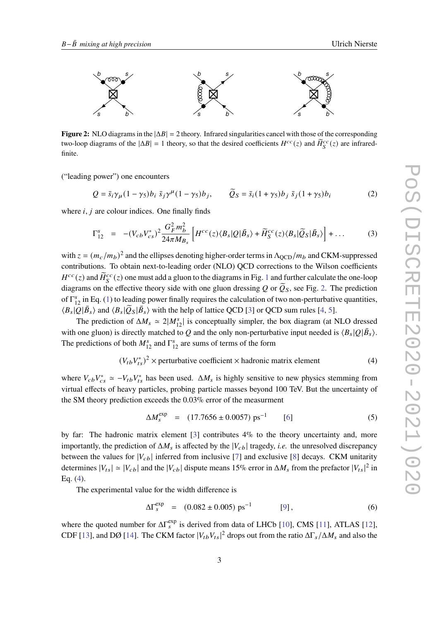<span id="page-2-0"></span>

**Figure 2:** NLO diagrams in the  $|\Delta B| = 2$  theory. Infrared singularities cancel with those of the corresponding two-loop diagrams of the  $|\Delta B| = 1$  theory, so that the desired coefficients  $H^{cc}(z)$  and  $\widetilde{H}_{S}^{cc}(z)$  are infraredfinite.

("leading power") one encounters

$$
Q = \bar{s}_i \gamma_\mu (1 - \gamma_5) b_i \ \bar{s}_j \gamma^\mu (1 - \gamma_5) b_j, \qquad \widetilde{Q}_S = \bar{s}_i (1 + \gamma_5) b_j \ \bar{s}_j (1 + \gamma_5) b_i \tag{2}
$$

where  $i$ ,  $j$  are colour indices. One finally finds

$$
\Gamma_{12}^s = -(V_{cb}V_{cs}^*)^2 \frac{G_F^2 m_b^2}{24\pi M_{B_s}} \left[ H^{cc}(z) \langle B_s | Q | \bar{B}_s \rangle + \widetilde{H}_S^{cc}(z) \langle B_s | \widetilde{Q}_S | \bar{B}_s \rangle \right] + \dots \tag{3}
$$

with  $z = (m_c/m_b)^2$  and the ellipses denoting higher-order terms in  $\Lambda_{\rm QCD}/m_b$  and CKM-suppressed contributions. To obtain next-to-leading order (NLO) QCD corrections to the Wilson coefficients  $H^{cc}(z)$  and  $\widetilde{H}_S^{cc}(z)$  one must add a gluon to the diagrams in Fig. [1](#page-1-0) and further calculate the one-loop diagrams on the effective theory side with one gluon dressing Q or  $\tilde{Q}_S$ , see Fig. [2.](#page-2-0) The prediction of  $\Gamma_{12}^s$  in Eq. [\(1\)](#page-1-1) to leading power finally requires the calculation of two non-perturbative quantities,  $\langle B_s | Q | \bar{B}_s \rangle$  and  $\langle B_s | \bar{Q}_s | \bar{B}_s \rangle$  with the help of lattice QCD [\[3\]](#page-4-2) or QCD sum rules [\[4,](#page-4-3) [5\]](#page-4-4).

The prediction of  $\Delta M_s \simeq 2|M_{12}^s|$  is conceptually simpler, the box diagram (at NLO dressed with one gluon) is directly matched to Q and the only non-perturbative input needed is  $\langle B_s | Q | \bar{B}_s \rangle$ . The predictions of both  $M_{12}^s$  and  $\Gamma_{12}^s$  are sums of terms of the form

<span id="page-2-1"></span>
$$
(V_{tb}V_{ts}^*)^2 \times \text{perturbative coefficient} \times \text{hadronic matrix element} \tag{4}
$$

where  $V_{cb}V_{cs}^* \simeq -V_{tb}V_{ts}^*$  has been used.  $\Delta M_s$  is highly sensitive to new physics stemming from virtual effects of heavy particles, probing particle masses beyond 100 TeV. But the uncertainty of the SM theory prediction exceeds the 0.03% error of the measurment

<span id="page-2-2"></span>
$$
\Delta M_s^{\text{exp}} = (17.7656 \pm 0.0057) \text{ ps}^{-1} \qquad [6]
$$
 (5)

by far: The hadronic matrix element [\[3\]](#page-4-2) contributes 4% to the theory uncertainty and, more importantly, the prediction of  $\Delta M_s$  is affected by the  $|V_{cb}|$  tragedy, *i.e.* the unresolved discrepancy between the values for  $|V_{cb}|$  inferred from inclusive [\[7\]](#page-4-6) and exclusive [\[8\]](#page-4-7) decays. CKM unitarity determines  $|V_{ts}| \simeq |V_{cb}|$  and the  $|V_{cb}|$  dispute means 15% error in  $\Delta M_s$  from the prefactor  $|V_{ts}|^2$  in Eq. [\(4\)](#page-2-1).

The experimental value for the width difference is

$$
\Delta\Gamma_s^{\exp} = (0.082 \pm 0.005) \text{ ps}^{-1} \qquad [9], \qquad (6)
$$

where the quoted number for  $\Delta\Gamma_s^{exp}$  is derived from data of LHCb [\[10\]](#page-4-9), CMS [\[11\]](#page-4-10), ATLAS [\[12\]](#page-4-11), CDF [\[13\]](#page-4-12), and DØ [\[14\]](#page-5-0). The CKM factor  $|V_{tb}V_{ts}|^2$  drops out from the ratio  $\Delta\Gamma_s/\Delta M_s$  and also the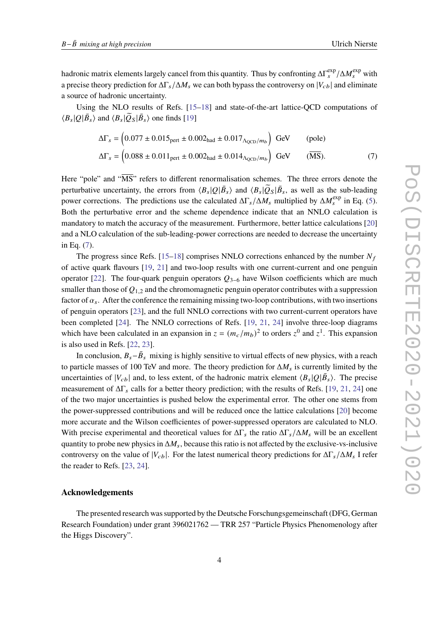hadronic matrix elements largely cancel from this quantity. Thus by confronting  $\Delta\Gamma_s^{\rm exp}/\Delta M_s^{\rm exp}$  with a precise theory prediction for  $\Delta \Gamma_s / \Delta M_s$  we can both bypass the controversy on  $|V_{cb}|$  and eliminate a source of hadronic uncertainty.

Using the NLO results of Refs. [\[15–](#page-5-1)[18\]](#page-5-2) and state-of-the-art lattice-QCD computations of  $\langle B_s | Q | \bar{B}_s \rangle$  and  $\langle B_s | \tilde{Q}_S | \bar{B}_s \rangle$  one finds [\[19\]](#page-5-3)

<span id="page-3-0"></span>
$$
\Delta\Gamma_s = \left(0.077 \pm 0.015_{\text{pert}} \pm 0.002_{\text{had}} \pm 0.017_{\Delta_{\text{QCD}}/m_b}\right) \text{ GeV} \qquad \text{(pole)}
$$
  

$$
\Delta\Gamma_s = \left(0.088 \pm 0.011_{\text{pert}} \pm 0.002_{\text{had}} \pm 0.014_{\Delta_{\text{QCD}}/m_b}\right) \text{ GeV} \qquad (\overline{\text{MS}}). \tag{7}
$$

Here "pole" and " $\overline{\text{MS}}$ " refers to different renormalisation schemes. The three errors denote the perturbative uncertainty, the errors from  $\langle B_s | Q | \bar{B}_s \rangle$  and  $\langle B_s | \tilde{Q}_s | \bar{B}_s$ , as well as the sub-leading power corrections. The predictions use the calculated  $\Delta \Gamma_s / \Delta M_s$  multiplied by  $\Delta M_s^{\text{exp}}$  in Eq. [\(5\)](#page-2-2). Both the perturbative error and the scheme dependence indicate that an NNLO calculation is mandatory to match the accuracy of the measurement. Furthermore, better lattice calculations [\[20\]](#page-5-4) and a NLO calculation of the sub-leading-power corrections are needed to decrease the uncertainty in Eq. [\(7\)](#page-3-0).

The progress since Refs. [\[15–](#page-5-1)[18\]](#page-5-2) comprises NNLO corrections enhanced by the number  $N_f$ of active quark flavours [\[19,](#page-5-3) [21\]](#page-5-5) and two-loop results with one current-current and one penguin operator [\[22\]](#page-5-6). The four-quark penguin operators  $Q_{3-6}$  have Wilson coefficients which are much smaller than those of  $Q_{1,2}$  and the chromomagnetic penguin operator contributes with a suppression factor of  $\alpha_s$ . After the conference the remaining missing two-loop contributions, with two insertions of penguin operators [\[23\]](#page-5-7), and the full NNLO corrections with two current-current operators have been completed [\[24\]](#page-5-8). The NNLO corrections of Refs. [\[19,](#page-5-3) [21,](#page-5-5) [24\]](#page-5-8) involve three-loop diagrams which have been calculated in an expansion in  $z = (m_c/m_b)^2$  to orders  $z^0$  and  $z^1$ . This expansion is also used in Refs. [\[22,](#page-5-6) [23\]](#page-5-7).

In conclusion,  $B_s - \bar{B}_s$  mixing is highly sensitive to virtual effects of new physics, with a reach to particle masses of 100 TeV and more. The theory prediction for  $\Delta M_s$  is currently limited by the uncertainties of  $|V_{cb}|$  and, to less extent, of the hadronic matrix element  $\langle B_s | Q | \bar{B}_s \rangle$ . The precise measurement of  $\Delta\Gamma_s$  calls for a better theory prediction; with the results of Refs. [\[19,](#page-5-3) [21,](#page-5-5) [24\]](#page-5-8) one of the two major uncertainties is pushed below the experimental error. The other one stems from the power-suppressed contributions and will be reduced once the lattice calculations [\[20\]](#page-5-4) become more accurate and the Wilson coefficientes of power-suppressed operators are calculated to NLO. With precise experimental and theoretical values for  $\Delta\Gamma_s$  the ratio  $\Delta\Gamma_s/\Delta M_s$  will be an excellent quantity to probe new physics in  $\Delta M_s$ , because this ratio is not affected by the exclusive-vs-inclusive controversy on the value of  $|V_{cb}|$ . For the latest numerical theory predictions for  $\Delta\Gamma_s/\Delta M_s$  I refer the reader to Refs. [\[23,](#page-5-7) [24\]](#page-5-8).

#### **Acknowledgements**

The presented research was supported by the Deutsche Forschungsgemeinschaft (DFG, German Research Foundation) under grant 396021762 — TRR 257 "Particle Physics Phenomenology after the Higgs Discovery".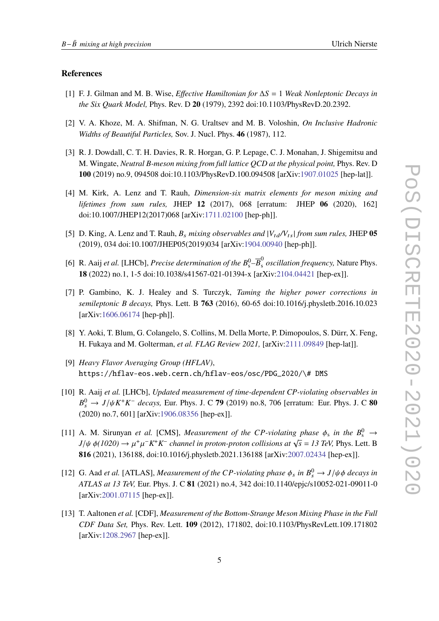#### **References**

- <span id="page-4-0"></span>[1] F. J. Gilman and M. B. Wise, *Effective Hamiltonian for* Δ = 1 *Weak Nonleptonic Decays in the Six Quark Model,* Phys. Rev. D **20** (1979), 2392 doi:10.1103/PhysRevD.20.2392.
- <span id="page-4-1"></span>[2] V. A. Khoze, M. A. Shifman, N. G. Uraltsev and M. B. Voloshin, *On Inclusive Hadronic Widths of Beautiful Particles,* Sov. J. Nucl. Phys. **46** (1987), 112.
- <span id="page-4-2"></span>[3] R. J. Dowdall, C. T. H. Davies, R. R. Horgan, G. P. Lepage, C. J. Monahan, J. Shigemitsu and M. Wingate, *Neutral B-meson mixing from full lattice QCD at the physical point,* Phys. Rev. D **100** (2019) no.9, 094508 doi:10.1103/PhysRevD.100.094508 [arXiv[:1907.01025](https://arxiv.org/abs/1907.01025) [hep-lat]].
- <span id="page-4-3"></span>[4] M. Kirk, A. Lenz and T. Rauh, *Dimension-six matrix elements for meson mixing and lifetimes from sum rules,* JHEP **12** (2017), 068 [erratum: JHEP **06** (2020), 162] doi:10.1007/JHEP12(2017)068 [arXiv[:1711.02100](https://arxiv.org/abs/1711.02100) [hep-ph]].
- <span id="page-4-4"></span>[5] D. King, A. Lenz and T. Rauh,  $B_s$  *mixing observables and*  $|V_{td}/V_{ts}|$  *from sum rules,* JHEP 05 (2019), 034 doi:10.1007/JHEP05(2019)034 [arXiv[:1904.00940](https://arxiv.org/abs/1904.00940) [hep-ph]].
- <span id="page-4-5"></span>[6] R. Aaij *et al.* [LHCb], *Precise determination of the*  $B_s^0$ - $\overline{B}_s^0$  *oscillation frequency*, Nature Phys. **18** (2022) no.1, 1-5 doi:10.1038/s41567-021-01394-x [arXiv[:2104.04421](https://arxiv.org/abs/2104.04421) [hep-ex]].
- <span id="page-4-6"></span>[7] P. Gambino, K. J. Healey and S. Turczyk, *Taming the higher power corrections in semileptonic B decays,* Phys. Lett. B **763** (2016), 60-65 doi:10.1016/j.physletb.2016.10.023 [arXiv[:1606.06174](https://arxiv.org/abs/1606.06174) [hep-ph]].
- <span id="page-4-7"></span>[8] Y. Aoki, T. Blum, G. Colangelo, S. Collins, M. Della Morte, P. Dimopoulos, S. Dürr, X. Feng, H. Fukaya and M. Golterman, *et al. FLAG Review 2021,* [arXiv[:2111.09849](https://arxiv.org/abs/2111.09849) [hep-lat]].
- <span id="page-4-8"></span>[9] *Heavy Flavor Averaging Group (HFLAV)*, https://hflav-eos.web.cern.ch/hflav-eos/osc/PDG\_2020/\# DMS
- <span id="page-4-9"></span>[10] R. Aaij *et al.* [LHCb], *Updated measurement of time-dependent CP-violating observables in*  $B_s^0 \to J/\psi K^+ K^-$  *decays,* Eur. Phys. J. C 79 (2019) no.8, 706 [erratum: Eur. Phys. J. C 80 (2020) no.7, 601] [arXiv[:1906.08356](https://arxiv.org/abs/1906.08356) [hep-ex]].
- <span id="page-4-10"></span>[11] A. M. Sirunyan *et al.* [CMS], *Measurement of the CP-violating phase*  $\phi_s$  *in the*  $B_s^0 \rightarrow$ *J*/ $\psi \phi(1020) \rightarrow \mu^+ \mu^- K^+ K^-$  *channel in proton-proton collisions at*  $\sqrt{s} = 13$  *TeV, Phys. Lett. B* **816** (2021), 136188, doi:10.1016/j.physletb.2021.136188 [arXiv[:2007.02434](https://arxiv.org/abs/2007.02434) [hep-ex]].
- <span id="page-4-11"></span>[12] G. Aad *et al.* [ATLAS], *Measurement of the CP-violating phase*  $\phi_s$  *in*  $B_s^0 \rightarrow J/\psi \phi$  *decays in ATLAS at 13 TeV,* Eur. Phys. J. C **81** (2021) no.4, 342 doi:10.1140/epjc/s10052-021-09011-0 [arXiv[:2001.07115](https://arxiv.org/abs/2001.07115) [hep-ex]].
- <span id="page-4-12"></span>[13] T. Aaltonen *et al.* [CDF], *Measurement of the Bottom-Strange Meson Mixing Phase in the Full CDF Data Set,* Phys. Rev. Lett. **109** (2012), 171802, doi:10.1103/PhysRevLett.109.171802 [arXiv[:1208.2967](https://arxiv.org/abs/1208.2967) [hep-ex]].